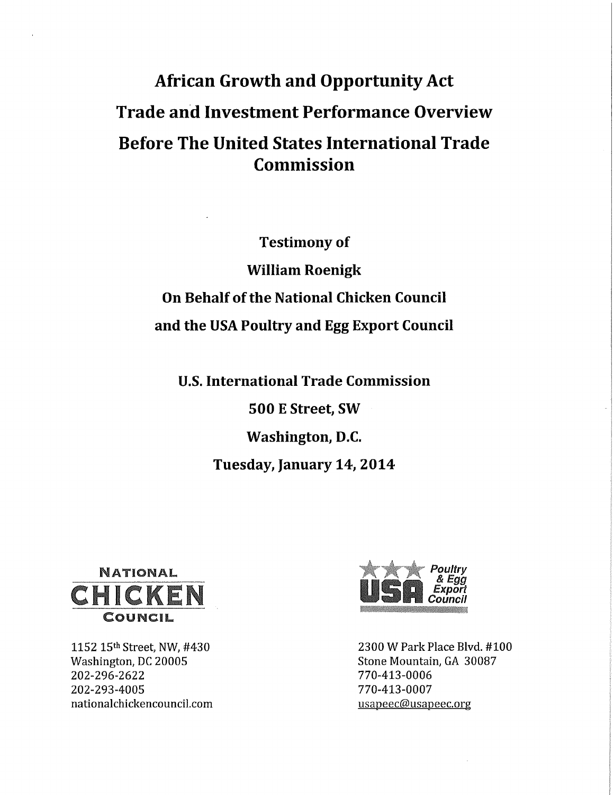## **African Growth and Opportunity Act Trade and Investment Performance Overview Before The United States International Trade Commission**

**Testimony of William Roenigk On Behalf of the National Chicken Council and the USA Poultry and Egg Export Council** 

**U.S. International Trade Commission** 

**500 E Street, SW Washington, D.C. Tuesday, January 14, 2014** 



1152 15<sup>th</sup> Street, NW, #430 Washington, DC 20005 202-296-2622 202-293-4005 nationalchickencouncil.com



2300 W Park Place Blvd. #100 Stone Mountain, GA 30087 770-413-0006 770-413-0007 usapeec@usapeec.org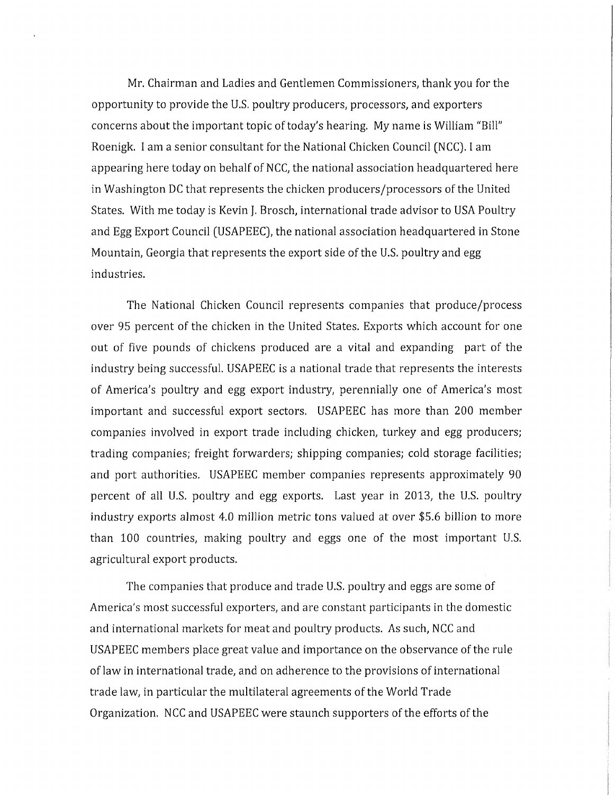Mr. Chairman and Ladies and Gentlemen Commissioners, thank you for the opportunity to provide the U.S. poultry producers, processors, and exporters concerns about the important topic of today's hearing. My name is William "Bill" Roenigk. I am a senior consultant for the National Chicken Council (NCC). I am appearing here today on behalf of NCC, the national association headquartered here in Washington DC that represents the chicken producers/processors of the United States. With me today is Kevin J. Brosch, international trade advisor to USA Poultry and Egg Export Council (USAPEEC), the national association headquartered in Stone Mountain, Georgia that represents the export side of the U.S. poultry and egg industries.

The National Chicken Council represents companies that produce/process over 95 percent of the chicken in the United States. Exports which account for one out of five pounds of chickens produced are a vital and expanding part of the industry being successful. USAPEEC is a national trade that represents the interests of America's poultry and egg export industry, perennially one of America's most important and successful export sectors. USAPEEC has more than 200 member companies involved in export trade including chicken, turkey and egg producers; trading companies; freight forwarders; shipping companies; cold storage facilities; and port authorities. USAPEEC member companies represents approximately 90 percent of all U.S. poultry and egg exports. Last year in 2013, the U.S. poultry industry exports almost 4,0 million metric tons valued at over \$5.6 billion to more than 100 countries, making poultry and eggs one of the most important U.S. agricultural export products.

The companies that produce and trade U.S. poultry and eggs are some of America's most successful exporters, and are constant participants in the domestic and international markets for meat and poultry products. As such, NCC and USAPEEC members place great value and importance on the observance of the rule of law in international trade, and on adherence to the provisions of international trade law, in particular the multilateral agreements of the World Trade Organization. NCC and USAPEEC were staunch supporters of the efforts of the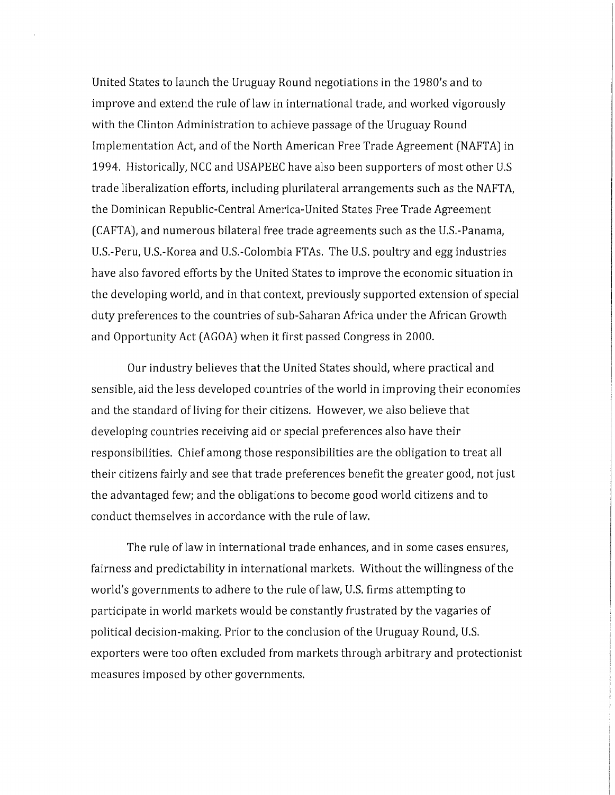United States to launch the Uruguay Round negotiations in the 1980's and to improve and extend the rule of law in international trade, and worked vigorously with the Clinton Administration to achieve passage of the Uruguay Round Implementation Act, and of the North American Free Trade Agreement (NAFTA) in 1994. Historically, NCC and USAPEEC have also been supporters of most other U.S trade liberalization efforts, including plurilateral arrangements such as the NAFTA, the Dominican Republic-Central America-United States Free Trade Agreement (CAFTA), and numerous bilateral free trade agreements such as the U.S.-Panama, U.S.-Peru, U.S.-Korea and U.S.-Colombia FTAs. The U.S. poultry and egg industries have also favored efforts by the United States to improve the economic situation in the developing world, and in that context, previously supported extension of special duty preferences to the countries of sub-Saharan Africa under the African Growth and Opportunity Act (AGOA) when it first passed Congress in 2000.

Our industry believes that the United States should, where practical and sensible, aid the less developed countries of the world in improving their economies and the standard of living for their citizens. However, we also believe that developing countries receiving aid or special preferences also have their responsibilities. Chief among those responsibilities are the obligation to treat all their citizens fairly and see that trade preferences benefit the greater good, not just the advantaged few; and the obligations to become good world citizens and to conduct themselves in accordance with the rule of law.

The rule of law in international trade enhances, and in some cases ensures, fairness and predictability in international markets. Without the willingness of the world's governments to adhere to the rule of law, U.S. firms attempting to participate in world markets would be constantly frustrated by the vagaries of political decision-making. Prior to the conclusion of the Uruguay Round, U.S. exporters were too often excluded from markets through arbitrary and protectionist measures imposed by other governments.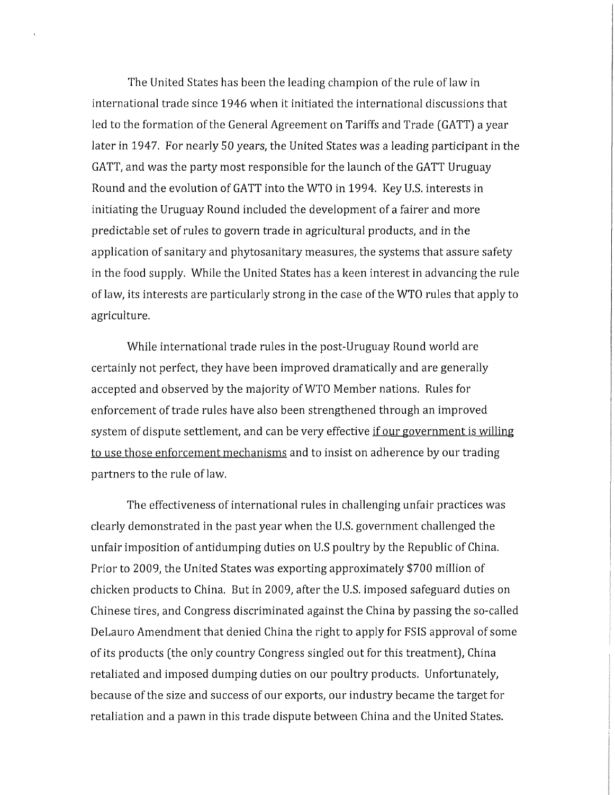The United States has been the leading champion of the rule of law in international trade since 1946 when it initiated the international discussions that led to the formation of the General Agreement on Tariffs and Trade (GATT) a year later in 1947. For nearly 50 years, the United States was a leading participant in the GATT, and was the party most responsible for the launch of the GATT Uruguay Round and the evolution of GATT into the WTO in 1994. Key U.S. interests in initiating the Uruguay Round included the development of a fairer and more predictable set of rules to govern trade in agricultural products, and in the application of sanitary and phytosanitary measures, the systems that assure safety in the food supply. While the United States has a keen interest in advancing the rule of law, its interests are particularly strong in the case of the WTO rules that apply to agriculture.

While international trade rules in the post-Uruguay Round world are certainly not perfect, they have been improved dramatically and are generally accepted and observed by the majority of WTO Member nations. Rules for enforcement of trade rules have also been strengthened through an improved system of dispute settlement, and can be very effective if our government is willing to use those enforcement mechanisms and to insist on adherence by our trading partners to the rule of law.

The effectiveness of international rules in challenging unfair practices was clearly demonstrated in the past year when the U.S. government challenged the unfair imposition of antidumping duties on U.S poultry by the Republic of China. Prior to 2009, the United States was exporting approximately \$700 million of chicken products to China. But in 2009, after the U.S. imposed safeguard duties on Chinese tires, and Congress discriminated against the China by passing the so-called DeLauro Amendment that denied China the right to apply for FSIS approval of some of its products (the only country Congress singled out for this treatment], China retaliated and imposed dumping duties on our poultry products. Unfortunately, because of the size and success of our exports, our industry became the target for retaliation and a pawn in this trade dispute between China and the United States.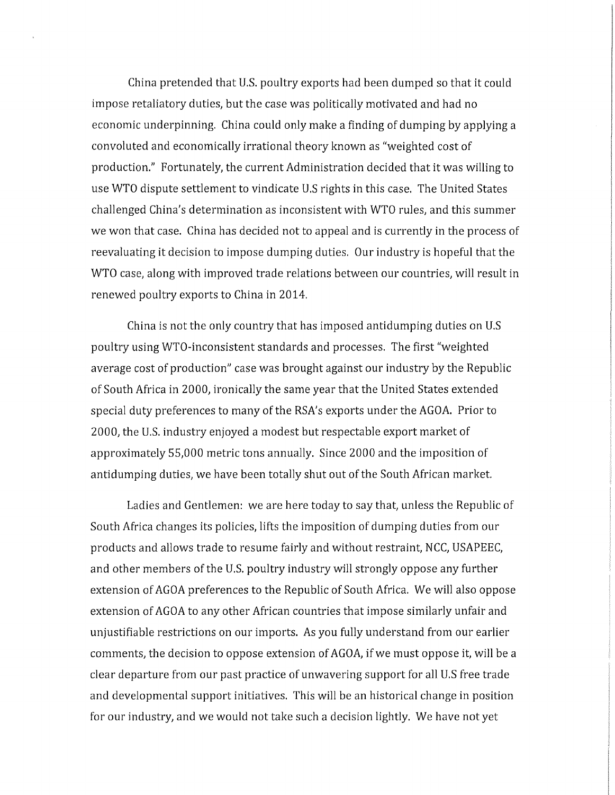China pretended that U.S. poultry exports had been dumped so that it could impose retaliatory duties, but the case was politically motivated and had no economic underpinning. China could only make a finding of dumping by applying a convoluted and economically irrational theory known as "weighted cost of production." Fortunately, the current Administration decided that it was willing to use WTO dispute settlement to vindicate U.S rights in this case. The United States challenged China's determination as inconsistent with WTO rules, and this summer we won that case. China has decided not to appeal and is currently in the process of reevaluating it decision to impose dumping duties. Our industry is hopeful that the WTO case, along with improved trade relations between our countries, will result in renewed poultry exports to China in 2014,

China is not the only country that has imposed antidumping duties on U.S poultry using WTO-inconsistent standards and processes. The first "weighted average cost of production" case was brought against our industry by the Republic of South Africa in 2000, ironically the same year that the United States extended special duty preferences to many of the RSA's exports under the AGOA. Prior to 2000, the U.S. industry enjoyed a modest but respectable export market of approximately 55,000 metric tons annually. Since 2000 and the imposition of antidumping duties, we have been totally shut out of the South African market.

Ladies and Gentlemen: we are here today to say that, unless the Republic of South Africa changes its policies, lifts the imposition of dumping duties from our products and allows trade to resume fairly and without restraint, NCC, USAPEEC, and other members of the U.S. poultry industry will strongly oppose any further extension of AGOA preferences to the Republic of South Africa. We will also oppose extension of AGOA to any other African countries that impose similarly unfair and unjustifiable restrictions on our imports. As you fully understand from our earlier comments, the decision to oppose extension of AGOA, if we must oppose it, will be a clear departure from our past practice of unwavering support for all U.S free trade and developmental support initiatives. This will be an historical change in position for our industry, and we would not take such a decision lightly. We have not yet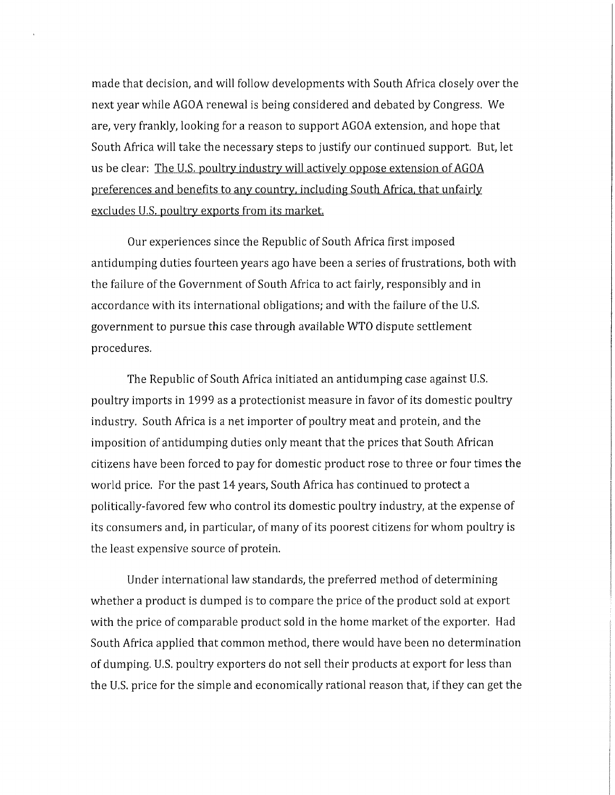made that decision, and will follow developments with South Africa closely over the next year while AGOA renewal is being considered and debated by Congress. We are, very frankly, looking for a reason to support AGOA extension, and hope that South Africa will take the necessary steps to justify our continued support. But, let us be clear: The U.S. poultry industry will actively oppose extension of AGOA preferences and benefits to any country, including South Africa, that unfairly excludes U.S. poultry exports from its market.

Our experiences since the Republic of South Africa first imposed antidumping duties fourteen years ago have been a series of frustrations, both with the failure of the Government of South Africa to act fairly, responsibly and in accordance with its international obligations; and with the failure of the U.S. government to pursue this case through available WTO dispute settlement procedures.

The Republic of South Africa initiated an antidumping case against U.S. poultry imports in 1999 as a protectionist measure in favor of its domestic poultry industry. South Africa is a net importer of poultry meat and protein, and the imposition of antidumping duties only meant that the prices that South African citizens have been forced to pay for domestic product rose to three or four times the world price. For the past 14 years, South Africa has continued to protect a politically-favored few who control its domestic poultry industry, at the expense of its consumers and, in particular, of many of its poorest citizens for whom poultry is the least expensive source of protein.

Under international law standards, the preferred method of determining whether a product is dumped is to compare the price of the product sold at export with the price of comparable product sold in the home market of the exporter. Had South Africa applied that common method, there would have been no determination of dumping. U.S. poultry exporters do not sell their products at export for less than the U.S. price for the simple and economically rational reason that, if they can get the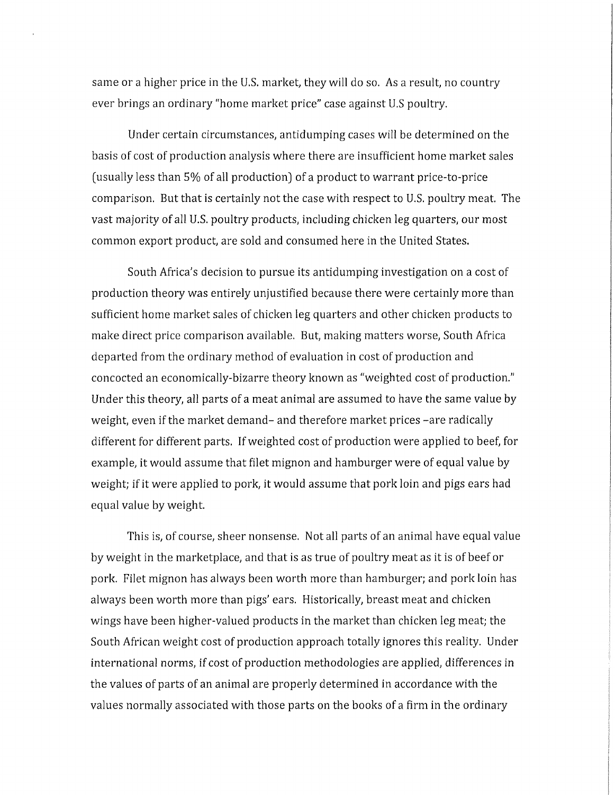same or a higher price in the U.S. market, they will do so. As a result, no country ever brings an ordinary "home market price" case against U.S poultry.

Under certain circumstances, antidumping cases will be determined on the basis of cost of production analysis where there are insufficient home market sales (usually less than 5% of all production] of a product to warrant price-to-price comparison. But that is certainly not the case with respect to U.S. poultry meat. The vast majority of all U.S. poultry products, including chicken leg quarters, our most common export product, are sold and consumed here in the United States.

South Africa's decision to pursue its antidumping investigation on a cost of production theory was entirely unjustified because there were certainly more than sufficient home market sales of chicken leg quarters and other chicken products to make direct price comparison available. But, making matters worse, South Africa departed from the ordinary method of evaluation in cost of production and concocted an economically-bizarre theory known as "weighted cost of production." Under this theory, all parts of a meat animal are assumed to have the same value by weight, even if the market demand- and therefore market prices -are radically different for different parts. If weighted cost of production were applied to beef, for example, it would assume that filet mignon and hamburger were of equal value by weight; if it were applied to pork, it would assume that pork loin and pigs ears had equal value by weight.

This is, of course, sheer nonsense. Not all parts of an animal have equal value by weight in the marketplace, and that is as true of poultry meat as it is of beef or pork. Filet mignon has always been worth more than hamburger; and pork loin has always been worth more than pigs' ears. Historically, breast meat and chicken wings have been higher-valued products in the market than chicken leg meat; the South African weight cost of production approach totally ignores this reality. Under international norms, if cost of production methodologies are applied, differences in the values of parts of an animal are properly determined in accordance with the values normally associated with those parts on the books of a firm in the ordinary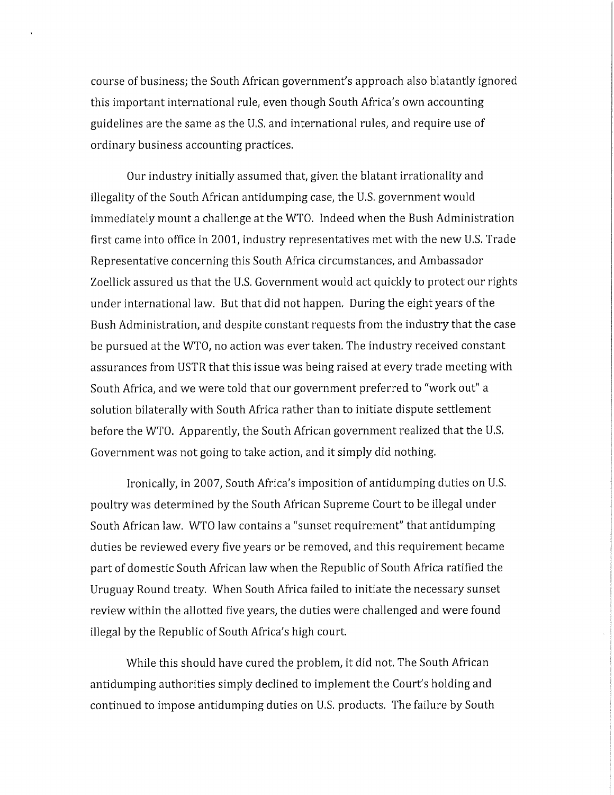course of business; the South African government's approach also blatantly ignored this important international rule, even though South Africa's own accounting guidelines are the same as the U.S. and international rules, and require use of ordinary business accounting practices.

Our industry initially assumed that, given the blatant irrationality and illegality of the South African antidumping case, the U.S. government would immediately mount a challenge at the WTO. Indeed when the Bush Administration first came into office in 2001, industry representatives met with the new U.S. Trade Representative concerning this South Africa circumstances, and Ambassador Zoellick assured us that the U.S. Government would act quickly to protect our rights under international law. But that did not happen. During the eight years of the Bush Administration, and despite constant requests from the industry that the case be pursued at the WTO, no action was ever taken. The industry received constant assurances from USTR that this issue was being raised at every trade meeting with South Africa, and we were told that our government preferred to "work out" a solution bilaterally with South Africa rather than to initiate dispute settlement before the WTO. Apparently, the South African government realized that the U.S. Government was not going to take action, and it simply did nothing.

Ironically, in 2007, South Africa's imposition of antidumping duties on U.S. poultry was determined by the South African Supreme Court to be illegal under South African law, WTO law contains a "sunset requirement" that antidumping duties be reviewed every five years or be removed, and this requirement became part of domestic South African law when the Republic of South Africa ratified the Uruguay Round treaty. When South Africa failed to initiate the necessary sunset review within the allotted five years, the duties were challenged and were found illegal by the Republic of South Africa's high court.

While this should have cured the problem, it did not. The South African antidumping authorities simply declined to implement the Court's holding and continued to impose antidumping duties on U.S. products. The failure by South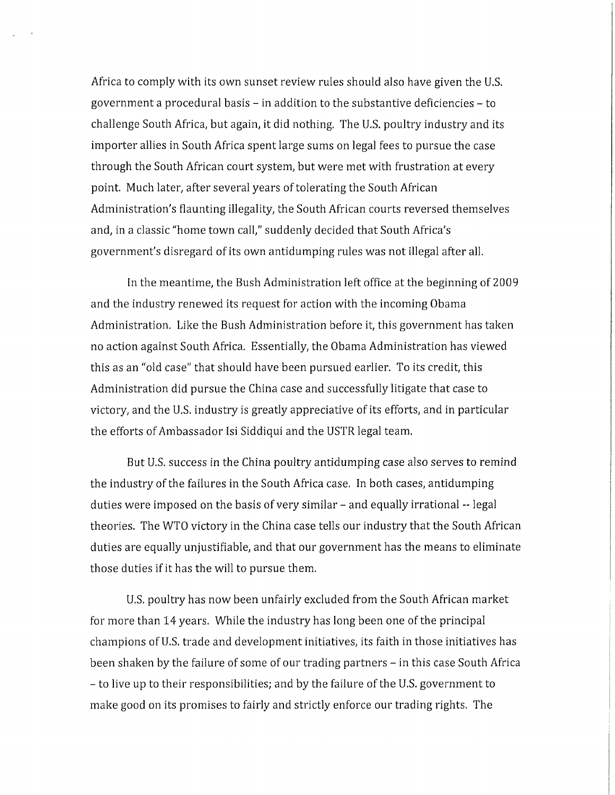Africa to comply with its own sunset review rules should also have given the U.S. government a procedural basis - in addition to the substantive deficiencies - to challenge South Africa, but again, it did nothing. The U.S. poultry industry and its importer allies in South Africa spent large sums on legal fees to pursue the case through the South African court system, but were met with frustration at every point. Much later, after several years of tolerating the South African Administration's flaunting illegality, the South African courts reversed themselves and, in a classic "home town call," suddenly decided that South Africa's government's disregard of its own antidumping rules was not illegal after all.

In the meantime, the Bush Administration left office at the beginning of 2009 and the industry renewed its request for action with the incoming Obama Administration. Like the Bush Administration before it, this government has taken no action against South Africa. Essentially, the Obama Administration has viewed this as an "old case" that should have been pursued earlier. To its credit, this Administration did pursue the China case and successfully litigate that case to victory, and the U.S. industry is greatly appreciative of its efforts, and in particular the efforts of Ambassador Isi Siddiqui and the USTR legal team.

But U.S. success in the China poultry antidumping case also serves to remind the industry of the failures in the South Africa case. In both cases, antidumping duties were imposed on the basis of very similar - and equally irrational -- legal theories. The WTO victory in the China case tells our industry that the South African duties are equally unjustifiable, and that our government has the means to eliminate those duties if it has the will to pursue them.

U.S. poultry has now been unfairly excluded from the South African market for more than 14 years. While the industry has long been one of the principal champions of U.S. trade and development initiatives, its faith in those initiatives has been shaken by the failure of some of our trading partners – in this case South Africa - to live up to their responsibilities; and by the failure of the U.S. government to make good on its promises to fairly and strictly enforce our trading rights. The